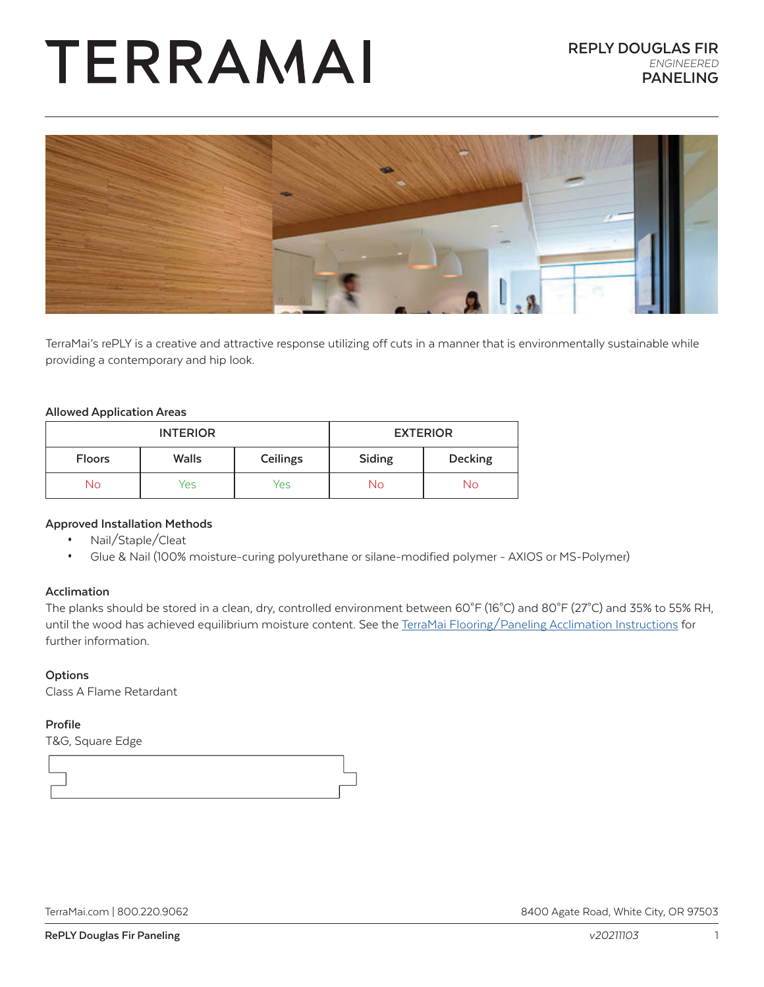# TERRAMAI



TerraMai's rePLY is a creative and attractive response utilizing off cuts in a manner that is environmentally sustainable while providing a contemporary and hip look.

### **Allowed Application Areas**

| <b>INTERIOR</b> |              | <b>EXTERIOR</b> |        |         |
|-----------------|--------------|-----------------|--------|---------|
| <b>Floors</b>   | <b>Walls</b> | Ceilings        | Siding | Decking |
| No              | Yes          | Yes             | No     | No      |

# **Approved Installation Methods**

- Nail/Staple/Cleat
- Glue & Nail (100% moisture-curing polyurethane or silane-modified polymer AXIOS or MS-Polymer)

### **Acclimation**

The planks should be stored in a clean, dry, controlled environment between 60°F (16°C) and 80°F (27°C) and 35% to 55% RH, until the wood has achieved equilibrium moisture content. See the [TerraMai Flooring/Paneling Acclimation Instructions](https://www.terramai.com/acclimation) for further information.

### **Options**

Class A Flame Retardant

### **Profile**

T&G, Square Edge



[TerraMai.com](http://www.terramai.com) | 800.220.9062 8400 Agate Road, White City, OR 97503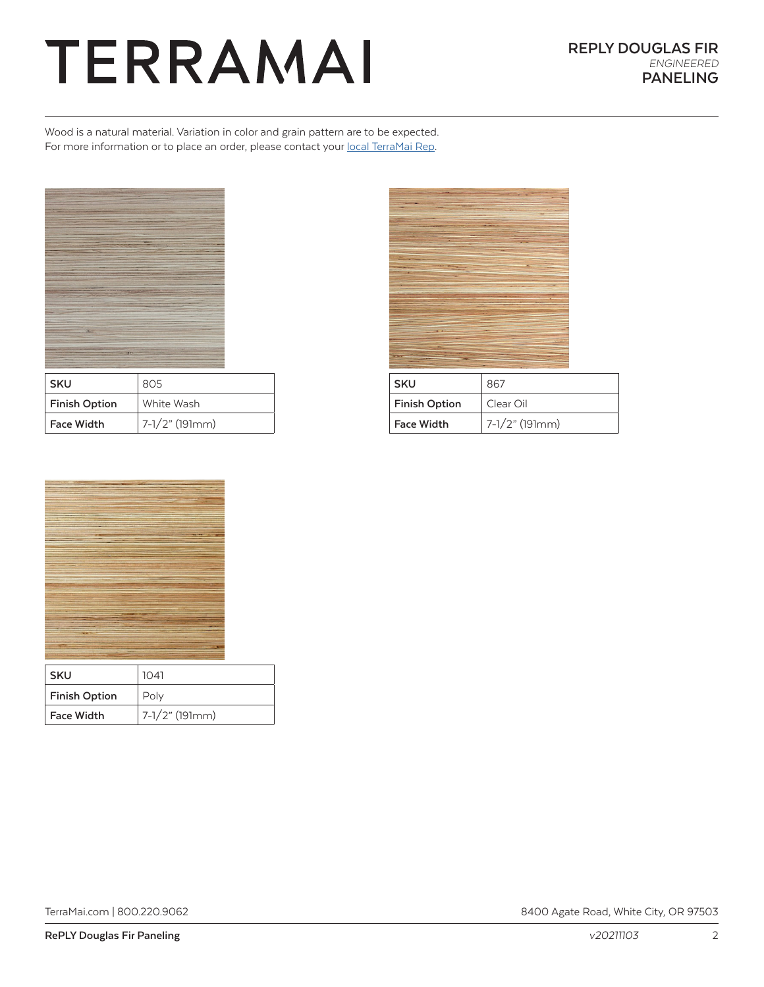# TERRAMAI

Wood is a natural material. Variation in color and grain pattern are to be expected. For more information or to place an order, please contact your [local TerraMai Rep](https://www.terramai.com/team-terramai).



| SKU                  | 805            |
|----------------------|----------------|
| <b>Finish Option</b> | White Wash     |
| Face Width           | 7-1/2" (191mm) |



| <b>SKU</b>           | 867               |
|----------------------|-------------------|
| <b>Finish Option</b> | Clear Oil         |
| <b>Face Width</b>    | $7-1/2$ " (191mm) |



| <b>SKU</b>        | 1041           |
|-------------------|----------------|
| Finish Option     | Poly           |
| <b>Face Width</b> | 7-1/2" (191mm) |

[TerraMai.com](http://www.terramai.com) | 800.220.9062 8400 Agate Road, White City, OR 97503